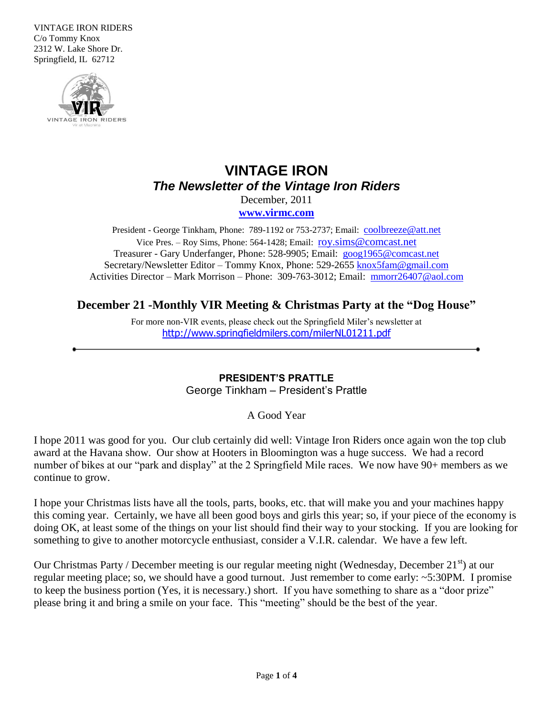VINTAGE IRON RIDERS C/o Tommy Knox 2312 W. Lake Shore Dr. Springfield, IL 62712



# **VINTAGE IRON** *The Newsletter of the Vintage Iron Riders*

December, 2011 **[www.virmc.com](http://www.virmc.com/)** 

President - George Tinkham, Phone: 789-1192 or 753-2737; Email: [coolbreeze@att.net](mailto:coolbreeze@att.net) Vice Pres. – Roy Sims, Phone: 564-1428; Email: [roy.sims@comcast.net](mailto:roy.sims@comcast.net) Treasurer - Gary Underfanger, Phone: 528-9905; Email: [goog1965@comcast.net](mailto:goog1965@comcast.net) Secretary/Newsletter Editor – Tommy Knox, Phone: 529-2655 [knox5fam@gmail.com](mailto:knox5fam@gmail.com) Activities Director – Mark Morrison – Phone: 309-763-3012; Email: [mmorr26407@aol.com](mailto:mmorr26407@aol.com)

# **December 21 -Monthly VIR Meeting & Christmas Party at the "Dog House"**

For more non-VIR events, please check out the Springfield Miler's newsletter at <http://www.springfieldmilers.com/milerNL01211.pdf>

# **PRESIDENT'S PRATTLE**

George Tinkham – President's Prattle

A Good Year

I hope 2011 was good for you. Our club certainly did well: Vintage Iron Riders once again won the top club award at the Havana show. Our show at Hooters in Bloomington was a huge success. We had a record number of bikes at our "park and display" at the 2 Springfield Mile races. We now have 90+ members as we continue to grow.

I hope your Christmas lists have all the tools, parts, books, etc. that will make you and your machines happy this coming year. Certainly, we have all been good boys and girls this year; so, if your piece of the economy is doing OK, at least some of the things on your list should find their way to your stocking. If you are looking for something to give to another motorcycle enthusiast, consider a V.I.R. calendar. We have a few left.

Our Christmas Party / December meeting is our regular meeting night (Wednesday, December  $21<sup>st</sup>$ ) at our regular meeting place; so, we should have a good turnout. Just remember to come early: ~5:30PM. I promise to keep the business portion (Yes, it is necessary.) short. If you have something to share as a "door prize" please bring it and bring a smile on your face. This "meeting" should be the best of the year.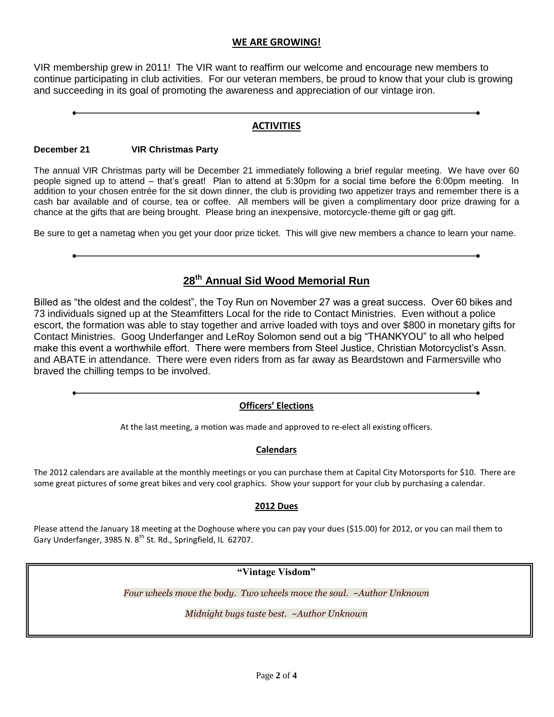### **WE ARE GROWING!**

VIR membership grew in 2011! The VIR want to reaffirm our welcome and encourage new members to continue participating in club activities. For our veteran members, be proud to know that your club is growing and succeeding in its goal of promoting the awareness and appreciation of our vintage iron.

### **ACTIVITIES**

#### **December 21 VIR Christmas Party**

The annual VIR Christmas party will be December 21 immediately following a brief regular meeting. We have over 60 people signed up to attend – that's great! Plan to attend at 5:30pm for a social time before the 6:00pm meeting. In addition to your chosen entrée for the sit down dinner, the club is providing two appetizer trays and remember there is a cash bar available and of course, tea or coffee. All members will be given a complimentary door prize drawing for a chance at the gifts that are being brought. Please bring an inexpensive, motorcycle-theme gift or gag gift.

Be sure to get a nametag when you get your door prize ticket. This will give new members a chance to learn your name.

# **28th Annual Sid Wood Memorial Run**

Billed as "the oldest and the coldest", the Toy Run on November 27 was a great success. Over 60 bikes and 73 individuals signed up at the Steamfitters Local for the ride to Contact Ministries. Even without a police escort, the formation was able to stay together and arrive loaded with toys and over \$800 in monetary gifts for Contact Ministries. Goog Underfanger and LeRoy Solomon send out a big "THANKYOU" to all who helped make this event a worthwhile effort. There were members from Steel Justice, Christian Motorcyclist's Assn. and ABATE in attendance. There were even riders from as far away as Beardstown and Farmersville who braved the chilling temps to be involved.

#### **Officers' Elections**

At the last meeting, a motion was made and approved to re-elect all existing officers.

#### **Calendars**

The 2012 calendars are available at the monthly meetings or you can purchase them at Capital City Motorsports for \$10. There are some great pictures of some great bikes and very cool graphics. Show your support for your club by purchasing a calendar.

#### **2012 Dues**

Please attend the January 18 meeting at the Doghouse where you can pay your dues (\$15.00) for 2012, or you can mail them to Gary Underfanger, 3985 N. 8<sup>th</sup> St. Rd., Springfield, IL 62707.

**"Vintage Visdom"**

*Four wheels move the body. Two wheels move the soul. ~Author Unknown*

*Midnight bugs taste best. ~Author Unknown*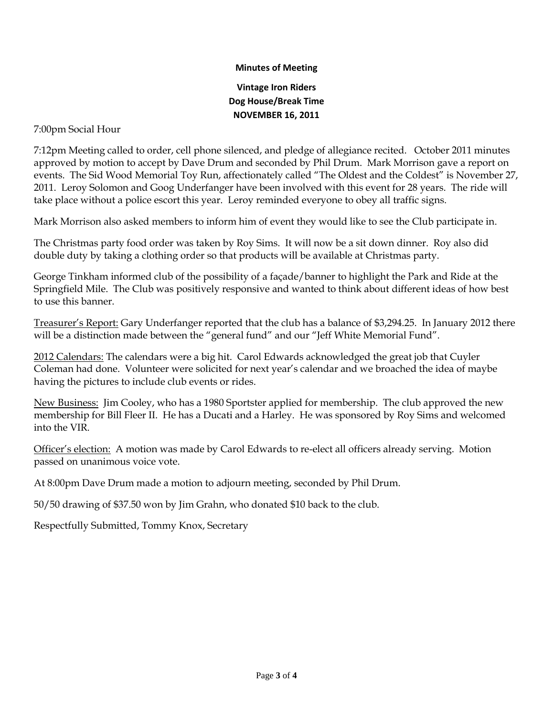## **Minutes of Meeting**

# **Vintage Iron Riders Dog House/Break Time NOVEMBER 16, 2011**

# 7:00pm Social Hour

7:12pm Meeting called to order, cell phone silenced, and pledge of allegiance recited. October 2011 minutes approved by motion to accept by Dave Drum and seconded by Phil Drum. Mark Morrison gave a report on events. The Sid Wood Memorial Toy Run, affectionately called "The Oldest and the Coldest" is November 27, 2011. Leroy Solomon and Goog Underfanger have been involved with this event for 28 years. The ride will take place without a police escort this year. Leroy reminded everyone to obey all traffic signs.

Mark Morrison also asked members to inform him of event they would like to see the Club participate in.

The Christmas party food order was taken by Roy Sims. It will now be a sit down dinner. Roy also did double duty by taking a clothing order so that products will be available at Christmas party.

George Tinkham informed club of the possibility of a façade/banner to highlight the Park and Ride at the Springfield Mile. The Club was positively responsive and wanted to think about different ideas of how best to use this banner.

Treasurer's Report: Gary Underfanger reported that the club has a balance of \$3,294.25. In January 2012 there will be a distinction made between the "general fund" and our "Jeff White Memorial Fund".

2012 Calendars: The calendars were a big hit. Carol Edwards acknowledged the great job that Cuyler Coleman had done. Volunteer were solicited for next year's calendar and we broached the idea of maybe having the pictures to include club events or rides.

New Business: Jim Cooley, who has a 1980 Sportster applied for membership. The club approved the new membership for Bill Fleer II. He has a Ducati and a Harley. He was sponsored by Roy Sims and welcomed into the VIR.

Officer's election: A motion was made by Carol Edwards to re-elect all officers already serving. Motion passed on unanimous voice vote.

At 8:00pm Dave Drum made a motion to adjourn meeting, seconded by Phil Drum.

50/50 drawing of \$37.50 won by Jim Grahn, who donated \$10 back to the club.

Respectfully Submitted, Tommy Knox, Secretary